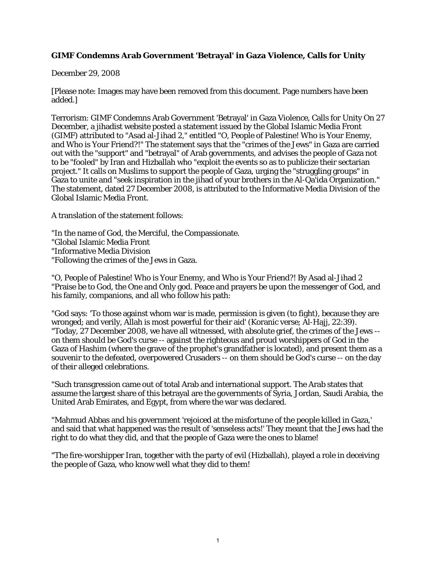## **GIMF Condemns Arab Government 'Betrayal' in Gaza Violence, Calls for Unity**

December 29, 2008

[Please note: Images may have been removed from this document. Page numbers have been added.]

Terrorism: GIMF Condemns Arab Government 'Betrayal' in Gaza Violence, Calls for Unity On 27 December, a jihadist website posted a statement issued by the Global Islamic Media Front (GIMF) attributed to "Asad al-Jihad 2," entitled "O, People of Palestine! Who is Your Enemy, and Who is Your Friend?!" The statement says that the "crimes of the Jews" in Gaza are carried out with the "support" and "betrayal" of Arab governments, and advises the people of Gaza not to be "fooled" by Iran and Hizballah who "exploit the events so as to publicize their sectarian project." It calls on Muslims to support the people of Gaza, urging the "struggling groups" in Gaza to unite and "seek inspiration in the jihad of your brothers in the Al-Qa'ida Organization." The statement, dated 27 December 2008, is attributed to the Informative Media Division of the Global Islamic Media Front.

A translation of the statement follows:

"In the name of God, the Merciful, the Compassionate.

"Global Islamic Media Front

"Informative Media Division

"Following the crimes of the Jews in Gaza.

"O, People of Palestine! Who is Your Enemy, and Who is Your Friend?! By Asad al-Jihad 2 "Praise be to God, the One and Only god. Peace and prayers be upon the messenger of God, and his family, companions, and all who follow his path:

"God says: 'To those against whom war is made, permission is given (to fight), because they are wronged; and verily, Allah is most powerful for their aid' (Koranic verse; Al-Hajj, 22:39). "Today, 27 December 2008, we have all witnessed, with absolute grief, the crimes of the Jews - on them should be God's curse -- against the righteous and proud worshippers of God in the Gaza of Hashim (where the grave of the prophet's grandfather is located), and present them as a souvenir to the defeated, overpowered Crusaders -- on them should be God's curse -- on the day of their alleged celebrations.

"Such transgression came out of total Arab and international support. The Arab states that assume the largest share of this betrayal are the governments of Syria, Jordan, Saudi Arabia, the United Arab Emirates, and Egypt, from where the war was declared.

"Mahmud Abbas and his government 'rejoiced at the misfortune of the people killed in Gaza,' and said that what happened was the result of 'senseless acts!' They meant that the Jews had the right to do what they did, and that the people of Gaza were the ones to blame!

"The fire-worshipper Iran, together with the party of evil (Hizballah), played a role in deceiving the people of Gaza, who know well what they did to them!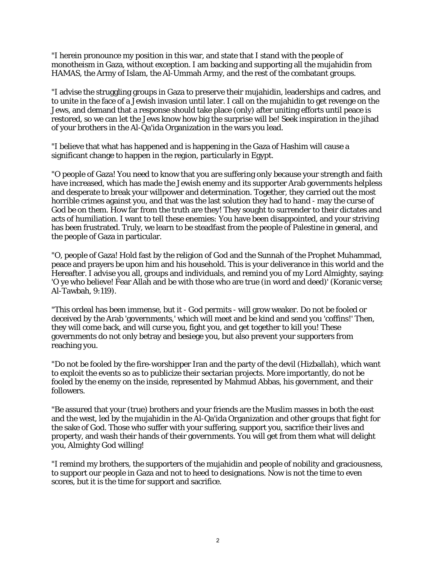"I herein pronounce my position in this war, and state that I stand with the people of monotheism in Gaza, without exception. I am backing and supporting all the mujahidin from HAMAS, the Army of Islam, the Al-Ummah Army, and the rest of the combatant groups.

"I advise the struggling groups in Gaza to preserve their mujahidin, leaderships and cadres, and to unite in the face of a Jewish invasion until later. I call on the mujahidin to get revenge on the Jews, and demand that a response should take place (only) after uniting efforts until peace is restored, so we can let the Jews know how big the surprise will be! Seek inspiration in the jihad of your brothers in the Al-Qa'ida Organization in the wars you lead.

"I believe that what has happened and is happening in the Gaza of Hashim will cause a significant change to happen in the region, particularly in Egypt.

"O people of Gaza! You need to know that you are suffering only because your strength and faith have increased, which has made the Jewish enemy and its supporter Arab governments helpless and desperate to break your willpower and determination. Together, they carried out the most horrible crimes against you, and that was the last solution they had to hand - may the curse of God be on them. How far from the truth are they! They sought to surrender to their dictates and acts of humiliation. I want to tell these enemies: You have been disappointed, and your striving has been frustrated. Truly, we learn to be steadfast from the people of Palestine in general, and the people of Gaza in particular.

"O, people of Gaza! Hold fast by the religion of God and the Sunnah of the Prophet Muhammad, peace and prayers be upon him and his household. This is your deliverance in this world and the Hereafter. I advise you all, groups and individuals, and remind you of my Lord Almighty, saying: 'O ye who believe! Fear Allah and be with those who are true (in word and deed)' (Koranic verse; Al-Tawbah, 9:119).

"This ordeal has been immense, but it - God permits - will grow weaker. Do not be fooled or deceived by the Arab 'governments,' which will meet and be kind and send you 'coffins!' Then, they will come back, and will curse you, fight you, and get together to kill you! These governments do not only betray and besiege you, but also prevent your supporters from reaching you.

"Do not be fooled by the fire-worshipper Iran and the party of the devil (Hizballah), which want to exploit the events so as to publicize their sectarian projects. More importantly, do not be fooled by the enemy on the inside, represented by Mahmud Abbas, his government, and their followers.

"Be assured that your (true) brothers and your friends are the Muslim masses in both the east and the west, led by the mujahidin in the Al-Qa'ida Organization and other groups that fight for the sake of God. Those who suffer with your suffering, support you, sacrifice their lives and property, and wash their hands of their governments. You will get from them what will delight you, Almighty God willing!

"I remind my brothers, the supporters of the mujahidin and people of nobility and graciousness, to support our people in Gaza and not to heed to designations. Now is not the time to even scores, but it is the time for support and sacrifice.